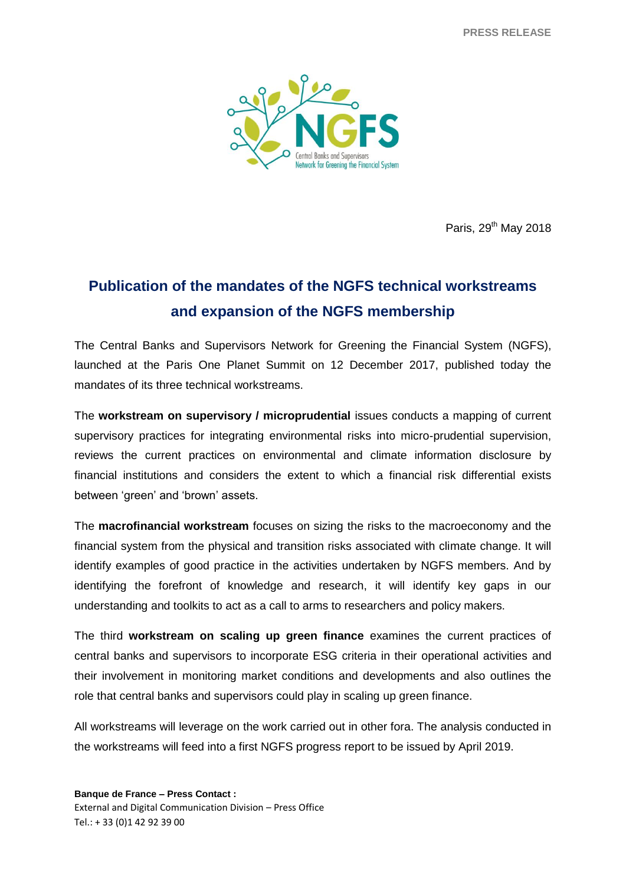**PRESS RELEASE**



Paris, 29<sup>th</sup> May 2018

## **Publication of the mandates of the NGFS technical workstreams and expansion of the NGFS membership**

The Central Banks and Supervisors Network for Greening the Financial System (NGFS), launched at the Paris One Planet Summit on 12 December 2017, published today the mandates of its three technical workstreams.

The **workstream on supervisory / microprudential** issues conducts a mapping of current supervisory practices for integrating environmental risks into micro-prudential supervision, reviews the current practices on environmental and climate information disclosure by financial institutions and considers the extent to which a financial risk differential exists between 'green' and 'brown' assets.

The **macrofinancial workstream** focuses on sizing the risks to the macroeconomy and the financial system from the physical and transition risks associated with climate change. It will identify examples of good practice in the activities undertaken by NGFS members. And by identifying the forefront of knowledge and research, it will identify key gaps in our understanding and toolkits to act as a call to arms to researchers and policy makers.

The third **workstream on scaling up green finance** examines the current practices of central banks and supervisors to incorporate ESG criteria in their operational activities and their involvement in monitoring market conditions and developments and also outlines the role that central banks and supervisors could play in scaling up green finance.

All workstreams will leverage on the work carried out in other fora. The analysis conducted in the workstreams will feed into a first NGFS progress report to be issued by April 2019.